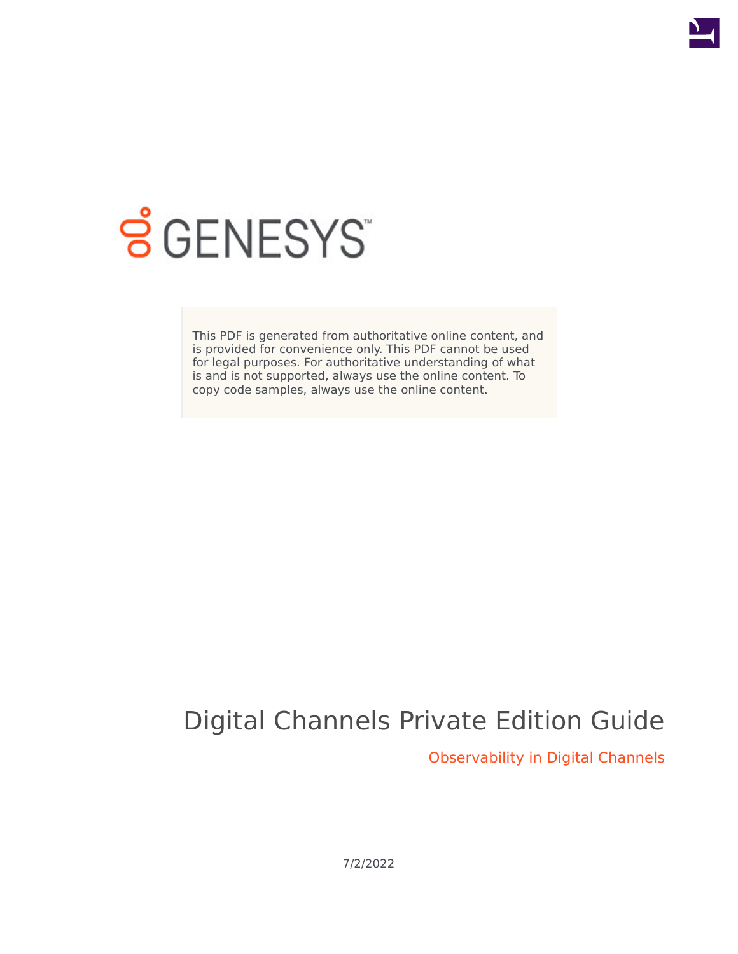

# **SGENESYS**

This PDF is generated from authoritative online content, and is provided for convenience only. This PDF cannot be used for legal purposes. For authoritative understanding of what is and is not supported, always use the online content. To copy code samples, always use the online content.

# Digital Channels Private Edition Guide

Observability in Digital Channels

7/2/2022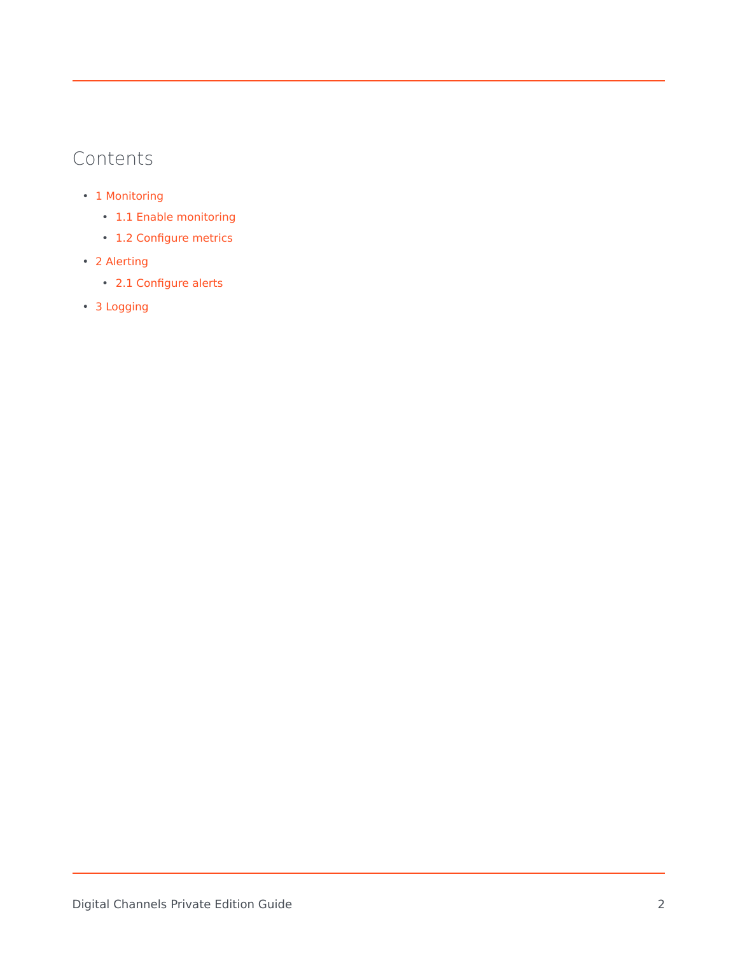# Contents

- 1 [Monitoring](#page-2-0)
	- 1.1 [Enable monitoring](#page-2-1)
	- 1.2 [Configure metrics](#page-3-0)
- 2 [Alerting](#page-3-1)
	- 2.1 [Configure alerts](#page-3-2)
- 3 [Logging](#page-3-3)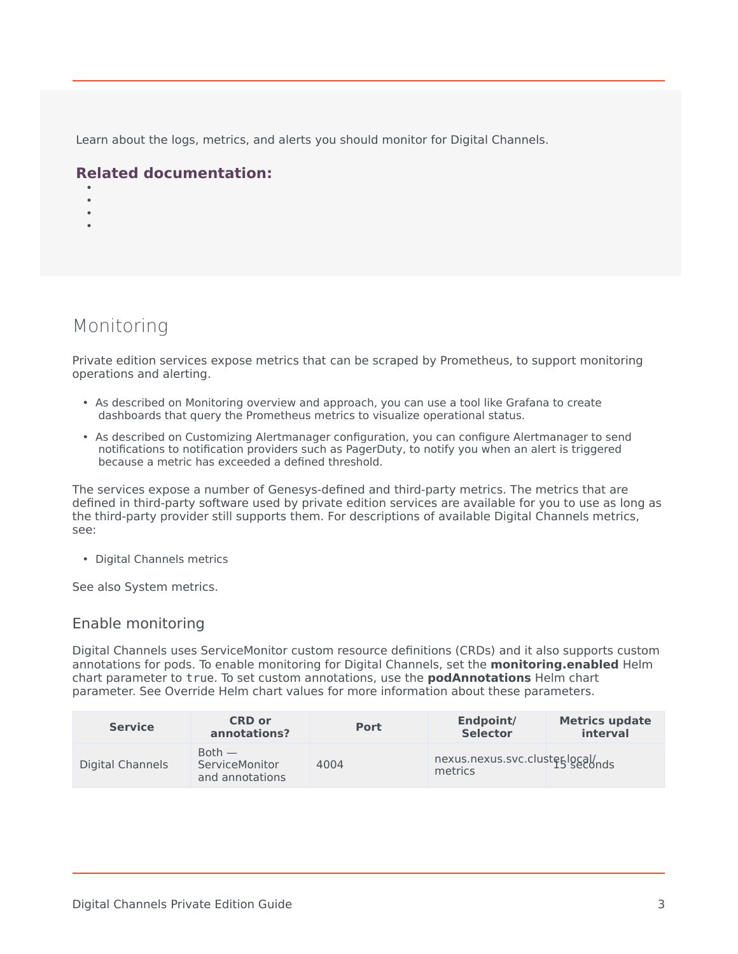Learn about the logs, metrics, and alerts you should monitor for Digital Channels.

#### **Related documentation:**

- •
- •
- •

# <span id="page-2-0"></span>Monitoring

Private edition services expose metrics that can be scraped by Prometheus, to support monitoring operations and alerting.

- As described on Monitoring overview and approach, you can use a tool like Grafana to create dashboards that query the Prometheus metrics to visualize operational status.
- As described on Customizing Alertmanager configuration, you can configure Alertmanager to send notifications to notification providers such as PagerDuty, to notify you when an alert is triggered because a metric has exceeded a defined threshold.

The services expose a number of Genesys-defined and third-party metrics. The metrics that are defined in third-party software used by private edition services are available for you to use as long as the third-party provider still supports them. For descriptions of available Digital Channels metrics, see:

• Digital Channels metrics

See also System metrics.

#### <span id="page-2-1"></span>Enable monitoring

Digital Channels uses ServiceMonitor custom resource definitions (CRDs) and it also supports custom annotations for pods. To enable monitoring for Digital Channels, set the **monitoring.enabled** Helm chart parameter to true. To set custom annotations, use the **podAnnotations** Helm chart parameter. See Override Helm chart values for more information about these parameters.

| <b>Service</b>   | <b>CRD or</b><br>annotations?                 | <b>Port</b> | Endpoint/<br><b>Selector</b>              | <b>Metrics update</b><br>interval |
|------------------|-----------------------------------------------|-------------|-------------------------------------------|-----------------------------------|
| Digital Channels | $Both -$<br>ServiceMonitor<br>and annotations | 4004        | nexus.nexus.svc.cluster.local/<br>metrics |                                   |